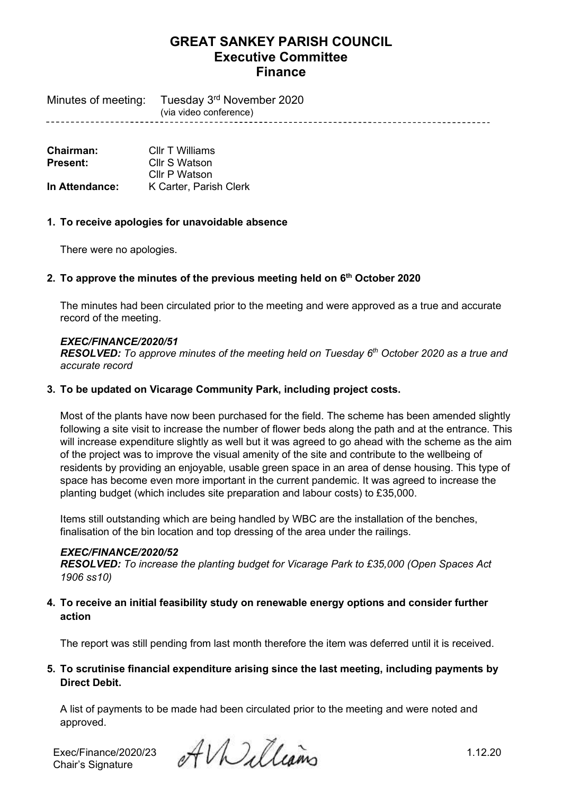# **GREAT SANKEY PARISH COUNCIL Executive Committee Finance**

Minutes of meeting: Tuesday 3rd November 2020 (via video conference)

**Chairman:** Cllr T Williams<br> **Present:** Cllr S Watson **Present:** Cllr S Watson Cllr P Watson **In Attendance:** K Carter, Parish Clerk

### **1. To receive apologies for unavoidable absence**

There were no apologies.

## **2. To approve the minutes of the previous meeting held on 6 th October 2020**

The minutes had been circulated prior to the meeting and were approved as a true and accurate record of the meeting.

### *EXEC/FINANCE/2020/51*

*RESOLVED: To approve minutes of the meeting held on Tuesday 6 th October 2020 as a true and accurate record*

### **3. To be updated on Vicarage Community Park, including project costs.**

Most of the plants have now been purchased for the field. The scheme has been amended slightly following a site visit to increase the number of flower beds along the path and at the entrance. This will increase expenditure slightly as well but it was agreed to go ahead with the scheme as the aim of the project was to improve the visual amenity of the site and contribute to the wellbeing of residents by providing an enjoyable, usable green space in an area of dense housing. This type of space has become even more important in the current pandemic. It was agreed to increase the planting budget (which includes site preparation and labour costs) to £35,000.

Items still outstanding which are being handled by WBC are the installation of the benches, finalisation of the bin location and top dressing of the area under the railings.

### *EXEC/FINANCE/2020/52*

*RESOLVED: To increase the planting budget for Vicarage Park to £35,000 (Open Spaces Act 1906 ss10)*

## **4. To receive an initial feasibility study on renewable energy options and consider further action**

The report was still pending from last month therefore the item was deferred until it is received.

## **5. To scrutinise financial expenditure arising since the last meeting, including payments by Direct Debit.**

A list of payments to be made had been circulated prior to the meeting and were noted and approved.

Chair's Signature

Exec/Finance/2020/23  $\mathcal{A}\mathcal{W}$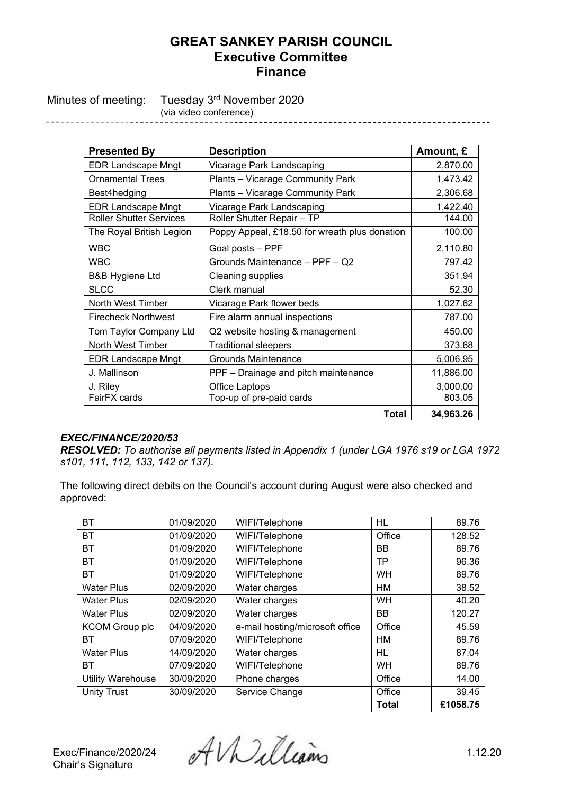# **GREAT SANKEY PARISH COUNCIL Executive Committee Finance**

Minutes of meeting: Tuesday 3<sup>rd</sup> November 2020 (via video conference)

------------------

| <b>Presented By</b>                      | <b>Description</b>                            | Amount, £ |
|------------------------------------------|-----------------------------------------------|-----------|
| <b>EDR Landscape Mngt</b>                | Vicarage Park Landscaping                     | 2,870.00  |
| <b>Ornamental Trees</b>                  | Plants - Vicarage Community Park              | 1,473.42  |
| Best4hedging                             | Plants - Vicarage Community Park              | 2,306.68  |
| <b>EDR Landscape Mngt</b>                | Vicarage Park Landscaping                     | 1,422.40  |
| <b>Roller Shutter Services</b>           | Roller Shutter Repair - TP                    | 144.00    |
| The Royal British Legion                 | Poppy Appeal, £18.50 for wreath plus donation | 100.00    |
| <b>WBC</b>                               | Goal posts - PPF                              | 2,110.80  |
| <b>WBC</b>                               | Grounds Maintenance - PPF - Q2                | 797.42    |
| <b>B&amp;B Hygiene Ltd</b>               | Cleaning supplies                             | 351.94    |
| <b>SLCC</b>                              | Clerk manual                                  | 52.30     |
| North West Timber                        | Vicarage Park flower beds                     | 1,027.62  |
| <b>Firecheck Northwest</b>               | Fire alarm annual inspections                 | 787.00    |
| Tom Taylor Company Ltd                   | Q2 website hosting & management               | 450.00    |
| North West Timber                        | <b>Traditional sleepers</b>                   | 373.68    |
| <b>EDR Landscape Mngt</b>                | <b>Grounds Maintenance</b>                    | 5,006.95  |
| J. Mallinson                             | PPF - Drainage and pitch maintenance          | 11,886.00 |
| J. Riley                                 | Office Laptops                                | 3,000.00  |
| FairFX cards<br>Top-up of pre-paid cards |                                               | 803.05    |
|                                          | <b>Total</b>                                  | 34,963.26 |

### *EXEC/FINANCE/2020/53*

*RESOLVED: To authorise all payments listed in Appendix 1 (under LGA 1976 s19 or LGA 1972 s101, 111, 112, 133, 142 or 137).* 

The following direct debits on the Council's account during August were also checked and approved:

| <b>BT</b>             | 01/09/2020 | WIFI/Telephone                  | HL           | 89.76    |
|-----------------------|------------|---------------------------------|--------------|----------|
| ВT                    | 01/09/2020 | WIFI/Telephone                  | Office       | 128.52   |
| ВT                    | 01/09/2020 | WIFI/Telephone                  | <b>BB</b>    | 89.76    |
| <b>BT</b>             | 01/09/2020 | WIFI/Telephone                  | ТP           | 96.36    |
| ВT                    | 01/09/2020 | WIFI/Telephone                  | <b>WH</b>    | 89.76    |
| <b>Water Plus</b>     | 02/09/2020 | Water charges                   | HM           | 38.52    |
| <b>Water Plus</b>     | 02/09/2020 | Water charges                   | <b>WH</b>    | 40.20    |
| <b>Water Plus</b>     | 02/09/2020 | Water charges                   | <b>BB</b>    | 120.27   |
| <b>KCOM Group plc</b> | 04/09/2020 | e-mail hosting/microsoft office | Office       | 45.59    |
| ВT                    | 07/09/2020 | WIFI/Telephone                  | HМ           | 89.76    |
| <b>Water Plus</b>     | 14/09/2020 | Water charges                   | <b>HL</b>    | 87.04    |
| <b>BT</b>             | 07/09/2020 | WIFI/Telephone                  | <b>WH</b>    | 89.76    |
| Utility Warehouse     | 30/09/2020 | Phone charges                   | Office       | 14.00    |
| <b>Unity Trust</b>    | 30/09/2020 | Service Change                  | Office       | 39.45    |
|                       |            |                                 | <b>Total</b> | £1058.75 |

Exec/Finance/2020/24  $\partial f$ *W*elleams 1.12.20